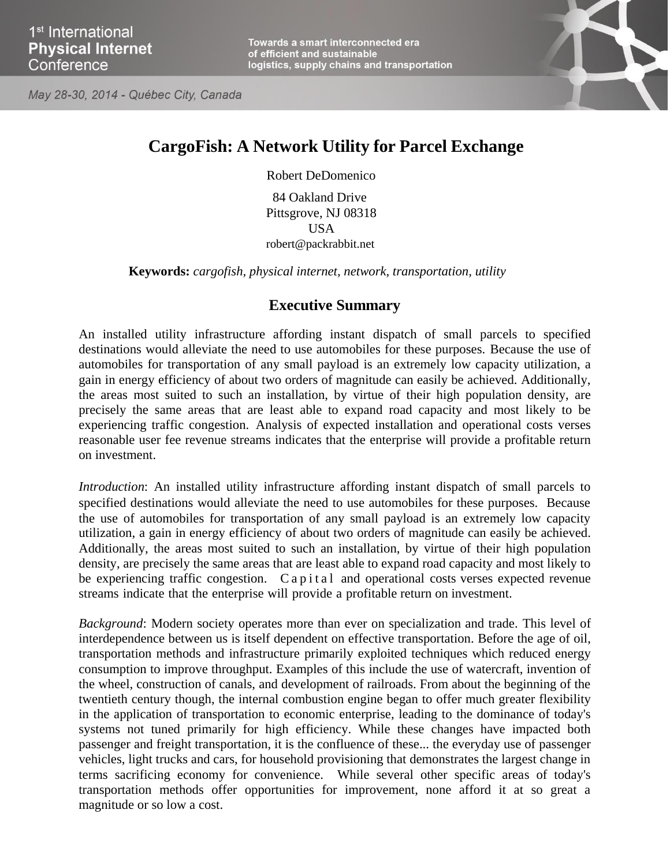Towards a smart interconnected era of efficient and sustainable logistics, supply chains and transportation





## **CargoFish: A Network Utility for Parcel Exchange**

Robert DeDomenico

84 Oakland Drive Pittsgrove, NJ 08318 USA [robert@packrabbit.net](mailto:robert@packrabbit.net)

**Keywords:** *cargofish, physical internet, network, transportation, utility*

## **Executive Summary**

An installed utility infrastructure affording instant dispatch of small parcels to specified destinations would alleviate the need to use automobiles for these purposes. Because the use of automobiles for transportation of any small payload is an extremely low capacity utilization, a gain in energy efficiency of about two orders of magnitude can easily be achieved. Additionally, the areas most suited to such an installation, by virtue of their high population density, are precisely the same areas that are least able to expand road capacity and most likely to be experiencing traffic congestion. Analysis of expected installation and operational costs verses reasonable user fee revenue streams indicates that the enterprise will provide a profitable return on investment.

*Introduction*: An installed utility infrastructure affording instant dispatch of small parcels to specified destinations would alleviate the need to use automobiles for these purposes. Because the use of automobiles for transportation of any small payload is an extremely low capacity utilization, a gain in energy efficiency of about two orders of magnitude can easily be achieved. Additionally, the areas most suited to such an installation, by virtue of their high population density, are precisely the same areas that are least able to expand road capacity and most likely to be experiencing traffic congestion.  $C$  a p i t a l and operational costs verses expected revenue streams indicate that the enterprise will provide a profitable return on investment.

*Background*: Modern society operates more than ever on specialization and trade. This level of interdependence between us is itself dependent on effective transportation. Before the age of oil, transportation methods and infrastructure primarily exploited techniques which reduced energy consumption to improve throughput. Examples of this include the use of watercraft, invention of the wheel, construction of canals, and development of railroads. From about the beginning of the twentieth century though, the internal combustion engine began to offer much greater flexibility in the application of transportation to economic enterprise, leading to the dominance of today's systems not tuned primarily for high efficiency. While these changes have impacted both passenger and freight transportation, it is the confluence of these... the everyday use of passenger vehicles, light trucks and cars, for household provisioning that demonstrates the largest change in terms sacrificing economy for convenience. While several other specific areas of today's transportation methods offer opportunities for improvement, none afford it at so great a magnitude or so low a cost.